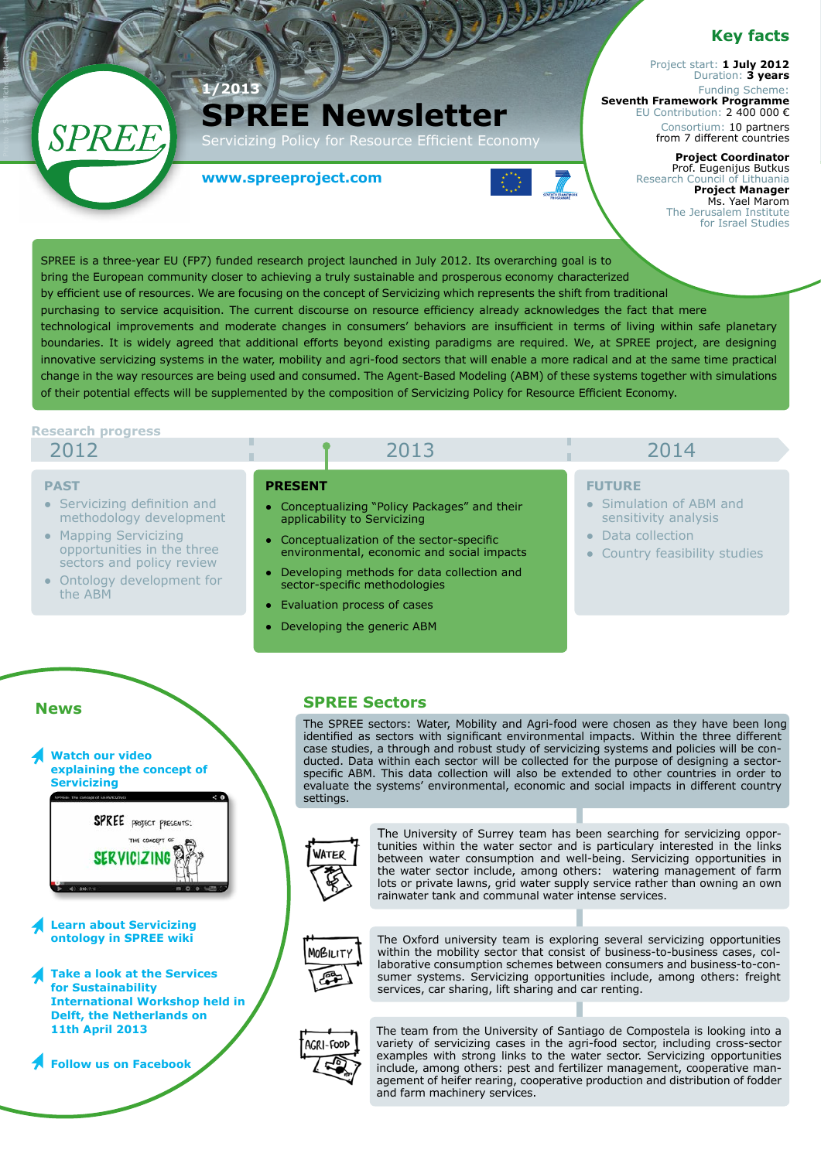# **Key facts**

Project start: **1 July 2012** Duration: **3 years** Funding Scheme: **Seventh Framework Programme**  EU Contribution: 2 400 000 €

Consortium: 10 partners from 7 different countries

#### **Project Coordinator**  Prof. Eugenijus Butkus Research Council of Lithuania **Project Manager**  Ms. Yael Marom The Jerusalem Institute for Israel Studies

**www.spreeproject.com**

**1/2013**

**SPREE Newsletter**

icizing Policy for Resource Efficient Economy



 $\begin{pmatrix} \frac{1}{2} \frac{1}{2} \frac{1}{2} \frac{1}{2} \frac{1}{2} \frac{1}{2} \frac{1}{2} \frac{1}{2} \frac{1}{2} \frac{1}{2} \frac{1}{2} \frac{1}{2} \frac{1}{2} \frac{1}{2} \frac{1}{2} \frac{1}{2} \frac{1}{2} \frac{1}{2} \frac{1}{2} \frac{1}{2} \frac{1}{2} \frac{1}{2} \frac{1}{2} \frac{1}{2} \frac{1}{2} \frac{1}{2} \frac{1}{2} \frac{1}{2} \frac{1}{2} \frac{1}{2} \frac{1$ 

### **Research progress**

SPREE

2012

### **PAST**

Photo by Sierra Michels Slettvet

- **●** Servicizing definition and methodology development
- **●** Mapping Servicizing opportunities in the three sectors and policy review
- **Ontology development for** the ABM

# 2013 2014

- **PRESENT**
- **●** Conceptualizing "Policy Packages" and their applicability to Servicizing
- **●** Conceptualization of the sector-specific environmental, economic and social impacts
- **●** Developing methods for data collection and sector-specific methodologies
- **Evaluation process of cases**
- **Developing the generic ABM**

# **FUTURE**

- **●** Simulation of ABM and sensitivity analysis
- **●** Data collection
- **Country feasibility studies**

## **News**

**Watch our video [explaining the concept of](http://www.spreeproject.com)  Servicizing** 



- **[Learn about Servicizing](http://wiki.spreeproject.com/)  ontology in SPREE wiki**
- **Take a look at the Services for Sustainability International Workshop held in [Delft, the Netherlands on](http://www.spreeproject.com/wp-content/uploads/2012/08/SPREE_workshop_invitation.pdf) 11th April 2013**

**[Follow us on Facebook](https://www.facebook.com/#!/SpreeProject)** 

### **SPREE Sectors**

The SPREE sectors: Water, Mobility and Agri-food were chosen as they have been long identified as sectors with significant environmental impacts. Within the three different case studies, a through and robust study of servicizing systems and policies will be conducted. Data within each sector will be collected for the purpose of designing a sectorspecific ABM. This data collection will also be extended to other countries in order to evaluate the systems' environmental, economic and social impacts in different country settings.



The University of Surrey team has been searching for servicizing opportunities within the water sector and is particulary interested in the links between water consumption and well-being. Servicizing opportunities in the water sector include, among others: watering management of farm lots or private lawns, grid water supply service rather than owning an own rainwater tank and communal water intense services.



The Oxford university team is exploring several servicizing opportunities within the mobility sector that consist of business-to-business cases, collaborative consumption schemes between consumers and business-to-consumer systems. Servicizing opportunities include, among others: freight services, car sharing, lift sharing and car renting.



The team from the University of Santiago de Compostela is looking into a variety of servicizing cases in the agri-food sector, including cross-sector examples with strong links to the water sector. Servicizing opportunities include, among others: pest and fertilizer management, cooperative management of heifer rearing, cooperative production and distribution of fodder and farm machinery services.